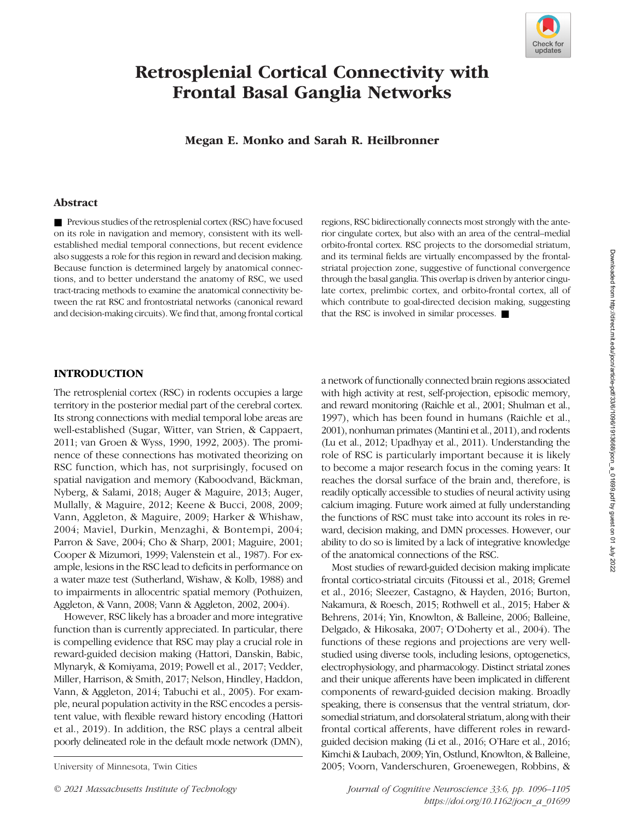

# Retrosplenial Cortical Connectivity with Frontal Basal Ganglia Networks

# Megan E. Monko and Sarah R. Heilbronner

#### Abstract

■ Previous studies of the retrosplenial cortex (RSC) have focused on its role in navigation and memory, consistent with its wellestablished medial temporal connections, but recent evidence also suggests a role for this region in reward and decision making. Because function is determined largely by anatomical connections, and to better understand the anatomy of RSC, we used tract-tracing methods to examine the anatomical connectivity between the rat RSC and frontostriatal networks (canonical reward and decision-making circuits). We find that, among frontal cortical regions, RSC bidirectionally connects most strongly with the anterior cingulate cortex, but also with an area of the central–medial orbito-frontal cortex. RSC projects to the dorsomedial striatum, and its terminal fields are virtually encompassed by the frontalstriatal projection zone, suggestive of functional convergence through the basal ganglia. This overlap is driven by anterior cingulate cortex, prelimbic cortex, and orbito-frontal cortex, all of which contribute to goal-directed decision making, suggesting that the RSC is involved in similar processes. ■

# INTRODUCTION

The retrosplenial cortex (RSC) in rodents occupies a large territory in the posterior medial part of the cerebral cortex. Its strong connections with medial temporal lobe areas are well-established (Sugar, Witter, van Strien, & Cappaert, 2011; van Groen & Wyss, 1990, 1992, 2003). The prominence of these connections has motivated theorizing on RSC function, which has, not surprisingly, focused on spatial navigation and memory (Kaboodvand, Bäckman, Nyberg, & Salami, 2018; Auger & Maguire, 2013; Auger, Mullally, & Maguire, 2012; Keene & Bucci, 2008, 2009; Vann, Aggleton, & Maguire, 2009; Harker & Whishaw, 2004; Maviel, Durkin, Menzaghi, & Bontempi, 2004; Parron & Save, 2004; Cho & Sharp, 2001; Maguire, 2001; Cooper & Mizumori, 1999; Valenstein et al., 1987). For example, lesions in the RSC lead to deficits in performance on a water maze test (Sutherland, Wishaw, & Kolb, 1988) and to impairments in allocentric spatial memory (Pothuizen, Aggleton, & Vann, 2008; Vann & Aggleton, 2002, 2004).

However, RSC likely has a broader and more integrative function than is currently appreciated. In particular, there is compelling evidence that RSC may play a crucial role in reward-guided decision making (Hattori, Danskin, Babic, Mlynaryk, & Komiyama, 2019; Powell et al., 2017; Vedder, Miller, Harrison, & Smith, 2017; Nelson, Hindley, Haddon, Vann, & Aggleton, 2014; Tabuchi et al., 2005). For example, neural population activity in the RSC encodes a persistent value, with flexible reward history encoding (Hattori et al., 2019). In addition, the RSC plays a central albeit poorly delineated role in the default mode network (DMN),

a network of functionally connected brain regions associated with high activity at rest, self-projection, episodic memory, and reward monitoring (Raichle et al., 2001; Shulman et al., 1997), which has been found in humans (Raichle et al., 2001), nonhuman primates (Mantini et al., 2011), and rodents (Lu et al., 2012; Upadhyay et al., 2011). Understanding the role of RSC is particularly important because it is likely to become a major research focus in the coming years: It reaches the dorsal surface of the brain and, therefore, is readily optically accessible to studies of neural activity using calcium imaging. Future work aimed at fully understanding the functions of RSC must take into account its roles in reward, decision making, and DMN processes. However, our ability to do so is limited by a lack of integrative knowledge of the anatomical connections of the RSC.

Most studies of reward-guided decision making implicate frontal cortico-striatal circuits (Fitoussi et al., 2018; Gremel et al., 2016; Sleezer, Castagno, & Hayden, 2016; Burton, Nakamura, & Roesch, 2015; Rothwell et al., 2015; Haber & Behrens, 2014; Yin, Knowlton, & Balleine, 2006; Balleine, Delgado, & Hikosaka, 2007; O'Doherty et al., 2004). The functions of these regions and projections are very wellstudied using diverse tools, including lesions, optogenetics, electrophysiology, and pharmacology. Distinct striatal zones and their unique afferents have been implicated in different components of reward-guided decision making. Broadly speaking, there is consensus that the ventral striatum, dorsomedial striatum, and dorsolateral striatum, along with their frontal cortical afferents, have different roles in rewardguided decision making (Li et al., 2016; O'Hare et al., 2016; Kimchi & Laubach, 2009; Yin, Ostlund, Knowlton, & Balleine, University of Minnesota, Twin Cities 2005; Voorn, Vanderschuren, Groenewegen, Robbins, &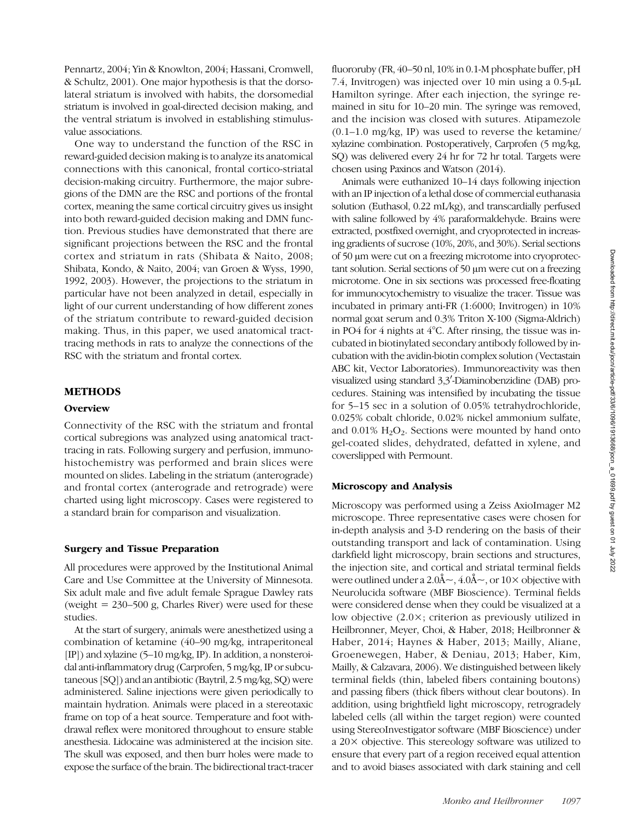Pennartz, 2004; Yin & Knowlton, 2004; Hassani, Cromwell, & Schultz, 2001). One major hypothesis is that the dorsolateral striatum is involved with habits, the dorsomedial striatum is involved in goal-directed decision making, and the ventral striatum is involved in establishing stimulusvalue associations.

One way to understand the function of the RSC in reward-guided decision making is to analyze its anatomical connections with this canonical, frontal cortico-striatal decision-making circuitry. Furthermore, the major subregions of the DMN are the RSC and portions of the frontal cortex, meaning the same cortical circuitry gives us insight into both reward-guided decision making and DMN function. Previous studies have demonstrated that there are significant projections between the RSC and the frontal cortex and striatum in rats (Shibata & Naito, 2008; Shibata, Kondo, & Naito, 2004; van Groen & Wyss, 1990, 1992, 2003). However, the projections to the striatum in particular have not been analyzed in detail, especially in light of our current understanding of how different zones of the striatum contribute to reward-guided decision making. Thus, in this paper, we used anatomical tracttracing methods in rats to analyze the connections of the RSC with the striatum and frontal cortex.

#### METHODS

## **Overview**

Connectivity of the RSC with the striatum and frontal cortical subregions was analyzed using anatomical tracttracing in rats. Following surgery and perfusion, immunohistochemistry was performed and brain slices were mounted on slides. Labeling in the striatum (anterograde) and frontal cortex (anterograde and retrograde) were charted using light microscopy. Cases were registered to a standard brain for comparison and visualization.

#### Surgery and Tissue Preparation

All procedures were approved by the Institutional Animal Care and Use Committee at the University of Minnesota. Six adult male and five adult female Sprague Dawley rats (weight  $= 230 - 500$  g, Charles River) were used for these studies.

At the start of surgery, animals were anesthetized using a combination of ketamine (40–90 mg/kg, intraperitoneal [IP]) and xylazine (5–10 mg/kg, IP). In addition, a nonsteroidal anti-inflammatory drug (Carprofen, 5 mg/kg, IP or subcutaneous [SQ]) and an antibiotic (Baytril, 2.5 mg/kg, SQ) were administered. Saline injections were given periodically to maintain hydration. Animals were placed in a stereotaxic frame on top of a heat source. Temperature and foot withdrawal reflex were monitored throughout to ensure stable anesthesia. Lidocaine was administered at the incision site. The skull was exposed, and then burr holes were made to expose the surface of the brain. The bidirectional tract-tracer

fluororuby (FR, 40–50 nl, 10% in 0.1-M phosphate buffer, pH 7.4, Invitrogen) was injected over 10 min using a 0.5-μL Hamilton syringe. After each injection, the syringe remained in situ for 10–20 min. The syringe was removed, and the incision was closed with sutures. Atipamezole (0.1–1.0 mg/kg, IP) was used to reverse the ketamine/ xylazine combination. Postoperatively, Carprofen (5 mg/kg, SQ) was delivered every 24 hr for 72 hr total. Targets were chosen using Paxinos and Watson (2014).

Animals were euthanized 10–14 days following injection with an IP injection of a lethal dose of commercial euthanasia solution (Euthasol, 0.22 mL/kg), and transcardially perfused with saline followed by 4% paraformaldehyde. Brains were extracted, postfixed overnight, and cryoprotected in increasing gradients of sucrose (10%, 20%, and 30%). Serial sections of 50 μm were cut on a freezing microtome into cryoprotectant solution. Serial sections of 50 μm were cut on a freezing microtome. One in six sections was processed free-floating for immunocytochemistry to visualize the tracer. Tissue was incubated in primary anti-FR (1:6000; Invitrogen) in 10% normal goat serum and 0.3% Triton X-100 (Sigma-Aldrich) in PO4 for 4 nights at 4°C. After rinsing, the tissue was incubated in biotinylated secondary antibody followed by incubation with the avidin-biotin complex solution (Vectastain ABC kit, Vector Laboratories). Immunoreactivity was then visualized using standard 3,3'-Diaminobenzidine (DAB) procedures. Staining was intensified by incubating the tissue for 5–15 sec in a solution of 0.05% tetrahydrochloride, 0.025% cobalt chloride, 0.02% nickel ammonium sulfate, and  $0.01\%$  H<sub>2</sub>O<sub>2</sub>. Sections were mounted by hand onto gel-coated slides, dehydrated, defatted in xylene, and coverslipped with Permount.

#### Microscopy and Analysis

Microscopy was performed using a Zeiss AxioImager M2 microscope. Three representative cases were chosen for in-depth analysis and 3-D rendering on the basis of their outstanding transport and lack of contamination. Using darkfield light microscopy, brain sections and structures, the injection site, and cortical and striatal terminal fields were outlined under a  $2.0\text{\AA} \sim$ ,  $4.0\text{\AA} \sim$ , or  $10\times$  objective with Neurolucida software (MBF Bioscience). Terminal fields were considered dense when they could be visualized at a low objective (2.0×; criterion as previously utilized in Heilbronner, Meyer, Choi, & Haber, 2018; Heilbronner & Haber, 2014; Haynes & Haber, 2013; Mailly, Aliane, Groenewegen, Haber, & Deniau, 2013; Haber, Kim, Mailly, & Calzavara, 2006). We distinguished between likely terminal fields (thin, labeled fibers containing boutons) and passing fibers (thick fibers without clear boutons). In addition, using brightfield light microscopy, retrogradely labeled cells (all within the target region) were counted using StereoInvestigator software (MBF Bioscience) under a 20× objective. This stereology software was utilized to ensure that every part of a region received equal attention and to avoid biases associated with dark staining and cell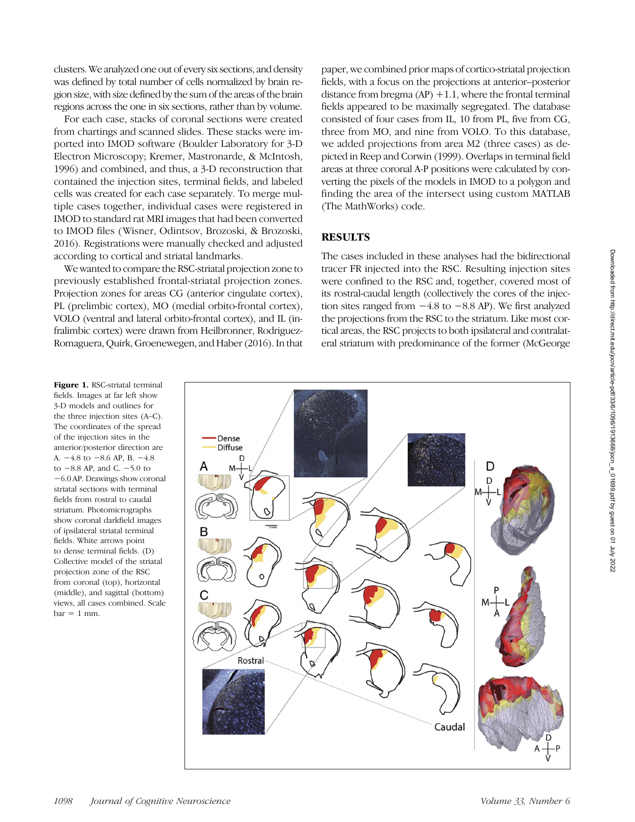clusters. We analyzed one out of every six sections, and density was defined by total number of cells normalized by brain region size, with size defined by the sum of the areas of the brain regions across the one in six sections, rather than by volume.

For each case, stacks of coronal sections were created from chartings and scanned slides. These stacks were imported into IMOD software (Boulder Laboratory for 3-D Electron Microscopy; Kremer, Mastronarde, & McIntosh, 1996) and combined, and thus, a 3-D reconstruction that contained the injection sites, terminal fields, and labeled cells was created for each case separately. To merge multiple cases together, individual cases were registered in IMOD to standard rat MRI images that had been converted to IMOD files (Wisner, Odintsov, Brozoski, & Brozoski, 2016). Registrations were manually checked and adjusted according to cortical and striatal landmarks.

We wanted to compare the RSC-striatal projection zone to previously established frontal-striatal projection zones. Projection zones for areas CG (anterior cingulate cortex), PL (prelimbic cortex), MO (medial orbito-frontal cortex), VOLO (ventral and lateral orbito-frontal cortex), and IL (infralimbic cortex) were drawn from Heilbronner, Rodriguez-Romaguera, Quirk, Groenewegen, and Haber (2016). In that paper, we combined prior maps of cortico-striatal projection fields, with a focus on the projections at anterior–posterior distance from bregma  $(AP) +1.1$ , where the frontal terminal fields appeared to be maximally segregated. The database consisted of four cases from IL, 10 from PL, five from CG, three from MO, and nine from VOLO. To this database, we added projections from area M2 (three cases) as depicted in Reep and Corwin (1999). Overlaps in terminal field areas at three coronal A-P positions were calculated by converting the pixels of the models in IMOD to a polygon and finding the area of the intersect using custom MATLAB (The MathWorks) code.

# RESULTS

The cases included in these analyses had the bidirectional tracer FR injected into the RSC. Resulting injection sites were confined to the RSC and, together, covered most of its rostral-caudal length (collectively the cores of the injection sites ranged from −4.8 to −8.8 AP). We first analyzed the projections from the RSC to the striatum. Like most cortical areas, the RSC projects to both ipsilateral and contralateral striatum with predominance of the former (McGeorge

Dense **Diffuse** D F Rostra Caudal

 $bar = 1$  mm.

Figure 1. RSC-striatal terminal fields. Images at far left show 3-D models and outlines for the three injection sites (A–C). The coordinates of the spread of the injection sites in the anterior/posterior direction are A. −4.8 to −8.6 AP, B. −4.8 to −8.8 AP, and C. −5.0 to −6.0 AP. Drawings show coronal striatal sections with terminal fields from rostral to caudal striatum. Photomicrographs show coronal darkfield images of ipsilateral striatal terminal fields. White arrows point to dense terminal fields. (D) Collective model of the striatal projection zone of the RSC from coronal (top), horizontal (middle), and sagittal (bottom) views, all cases combined. Scale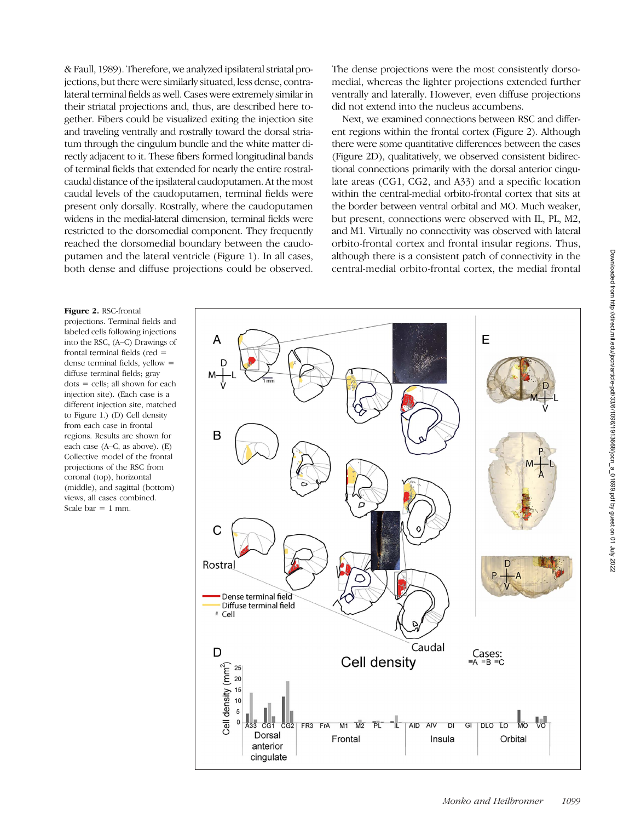& Faull, 1989). Therefore, we analyzed ipsilateral striatal projections, but there were similarly situated, less dense, contralateral terminal fields as well. Cases were extremely similar in their striatal projections and, thus, are described here together. Fibers could be visualized exiting the injection site and traveling ventrally and rostrally toward the dorsal striatum through the cingulum bundle and the white matter directly adjacent to it. These fibers formed longitudinal bands of terminal fields that extended for nearly the entire rostralcaudal distance of the ipsilateral caudoputamen. At the most caudal levels of the caudoputamen, terminal fields were present only dorsally. Rostrally, where the caudoputamen widens in the medial-lateral dimension, terminal fields were restricted to the dorsomedial component. They frequently reached the dorsomedial boundary between the caudoputamen and the lateral ventricle (Figure 1). In all cases, both dense and diffuse projections could be observed.

The dense projections were the most consistently dorsomedial, whereas the lighter projections extended further ventrally and laterally. However, even diffuse projections did not extend into the nucleus accumbens.

Next, we examined connections between RSC and different regions within the frontal cortex (Figure 2). Although there were some quantitative differences between the cases (Figure 2D), qualitatively, we observed consistent bidirectional connections primarily with the dorsal anterior cingulate areas (CG1, CG2, and A33) and a specific location within the central-medial orbito-frontal cortex that sits at the border between ventral orbital and MO. Much weaker, but present, connections were observed with IL, PL, M2, and M1. Virtually no connectivity was observed with lateral orbito-frontal cortex and frontal insular regions. Thus, although there is a consistent patch of connectivity in the central-medial orbito-frontal cortex, the medial frontal

#### Figure 2. RSC-frontal

projections. Terminal fields and labeled cells following injections into the RSC, (A–C) Drawings of frontal terminal fields (red = dense terminal fields, yellow = diffuse terminal fields; gray dots = cells; all shown for each injection site). (Each case is a different injection site, matched to Figure 1.) (D) Cell density from each case in frontal regions. Results are shown for each case (A–C, as above). (E) Collective model of the frontal projections of the RSC from coronal (top), horizontal (middle), and sagittal (bottom) views, all cases combined. Scale bar  $= 1$  mm.

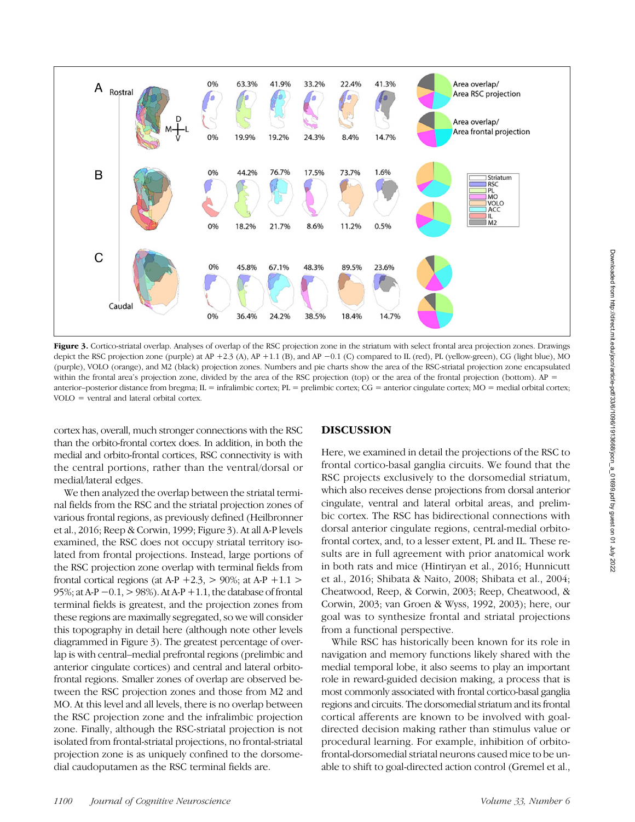

Figure 3. Cortico-striatal overlap. Analyses of overlap of the RSC projection zone in the striatum with select frontal area projection zones. Drawings depict the RSC projection zone (purple) at AP +2.3 (A), AP +1.1 (B), and AP −0.1 (C) compared to IL (red), PL (yellow-green), CG (light blue), MO (purple), VOLO (orange), and M2 (black) projection zones. Numbers and pie charts show the area of the RSC-striatal projection zone encapsulated within the frontal area's projection zone, divided by the area of the RSC projection (top) or the area of the frontal projection (bottom).  $AP =$ anterior–posterior distance from bregma;  $IL = infralimbic cortex, PL = prelimbic cortex, GG = anterior cingulate cortex, MO = medial orbital cortex;$ VOLO = ventral and lateral orbital cortex.

cortex has, overall, much stronger connections with the RSC than the orbito-frontal cortex does. In addition, in both the medial and orbito-frontal cortices, RSC connectivity is with the central portions, rather than the ventral/dorsal or medial/lateral edges.

We then analyzed the overlap between the striatal terminal fields from the RSC and the striatal projection zones of various frontal regions, as previously defined (Heilbronner et al., 2016; Reep & Corwin, 1999; Figure 3). At all A-P levels examined, the RSC does not occupy striatal territory isolated from frontal projections. Instead, large portions of the RSC projection zone overlap with terminal fields from frontal cortical regions (at A-P +2.3,  $>$  90%; at A-P +1.1  $>$ 95%; at A-P −0.1, > 98%). At A-P +1.1, the database of frontal terminal fields is greatest, and the projection zones from these regions are maximally segregated, so we will consider this topography in detail here (although note other levels diagrammed in Figure 3). The greatest percentage of overlap is with central–medial prefrontal regions (prelimbic and anterior cingulate cortices) and central and lateral orbitofrontal regions. Smaller zones of overlap are observed between the RSC projection zones and those from M2 and MO. At this level and all levels, there is no overlap between the RSC projection zone and the infralimbic projection zone. Finally, although the RSC-striatal projection is not isolated from frontal-striatal projections, no frontal-striatal projection zone is as uniquely confined to the dorsomedial caudoputamen as the RSC terminal fields are.

# DISCUSSION

Here, we examined in detail the projections of the RSC to frontal cortico-basal ganglia circuits. We found that the RSC projects exclusively to the dorsomedial striatum, which also receives dense projections from dorsal anterior cingulate, ventral and lateral orbital areas, and prelimbic cortex. The RSC has bidirectional connections with dorsal anterior cingulate regions, central-medial orbitofrontal cortex, and, to a lesser extent, PL and IL. These results are in full agreement with prior anatomical work in both rats and mice (Hintiryan et al., 2016; Hunnicutt et al., 2016; Shibata & Naito, 2008; Shibata et al., 2004; Cheatwood, Reep, & Corwin, 2003; Reep, Cheatwood, & Corwin, 2003; van Groen & Wyss, 1992, 2003); here, our goal was to synthesize frontal and striatal projections from a functional perspective.

While RSC has historically been known for its role in navigation and memory functions likely shared with the medial temporal lobe, it also seems to play an important role in reward-guided decision making, a process that is most commonly associated with frontal cortico-basal ganglia regions and circuits. The dorsomedial striatum and its frontal cortical afferents are known to be involved with goaldirected decision making rather than stimulus value or procedural learning. For example, inhibition of orbitofrontal-dorsomedial striatal neurons caused mice to be unable to shift to goal-directed action control (Gremel et al.,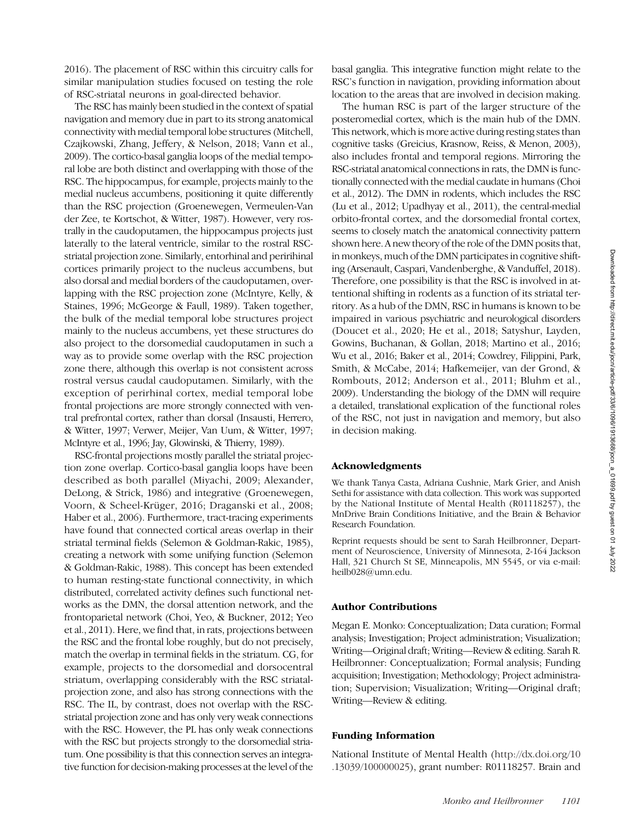2016). The placement of RSC within this circuitry calls for similar manipulation studies focused on testing the role of RSC-striatal neurons in goal-directed behavior.

The RSC has mainly been studied in the context of spatial navigation and memory due in part to its strong anatomical connectivity with medial temporal lobe structures (Mitchell, Czajkowski, Zhang, Jeffery, & Nelson, 2018; Vann et al., 2009). The cortico-basal ganglia loops of the medial temporal lobe are both distinct and overlapping with those of the RSC. The hippocampus, for example, projects mainly to the medial nucleus accumbens, positioning it quite differently than the RSC projection (Groenewegen, Vermeulen-Van der Zee, te Kortschot, & Witter, 1987). However, very rostrally in the caudoputamen, the hippocampus projects just laterally to the lateral ventricle, similar to the rostral RSCstriatal projection zone. Similarly, entorhinal and peririhinal cortices primarily project to the nucleus accumbens, but also dorsal and medial borders of the caudoputamen, overlapping with the RSC projection zone (McIntyre, Kelly, & Staines, 1996; McGeorge & Faull, 1989). Taken together, the bulk of the medial temporal lobe structures project mainly to the nucleus accumbens, yet these structures do also project to the dorsomedial caudoputamen in such a way as to provide some overlap with the RSC projection zone there, although this overlap is not consistent across rostral versus caudal caudoputamen. Similarly, with the exception of perirhinal cortex, medial temporal lobe frontal projections are more strongly connected with ventral prefrontal cortex, rather than dorsal (Insausti, Herrero, & Witter, 1997; Verwer, Meijer, Van Uum, & Witter, 1997; McIntyre et al., 1996; Jay, Glowinski, & Thierry, 1989).

RSC-frontal projections mostly parallel the striatal projection zone overlap. Cortico-basal ganglia loops have been described as both parallel (Miyachi, 2009; Alexander, DeLong, & Strick, 1986) and integrative (Groenewegen, Voorn, & Scheel-Krüger, 2016; Draganski et al., 2008; Haber et al., 2006). Furthermore, tract-tracing experiments have found that connected cortical areas overlap in their striatal terminal fields (Selemon & Goldman-Rakic, 1985), creating a network with some unifying function (Selemon & Goldman-Rakic, 1988). This concept has been extended to human resting-state functional connectivity, in which distributed, correlated activity defines such functional networks as the DMN, the dorsal attention network, and the frontoparietal network (Choi, Yeo, & Buckner, 2012; Yeo et al., 2011). Here, we find that, in rats, projections between the RSC and the frontal lobe roughly, but do not precisely, match the overlap in terminal fields in the striatum. CG, for example, projects to the dorsomedial and dorsocentral striatum, overlapping considerably with the RSC striatalprojection zone, and also has strong connections with the RSC. The IL, by contrast, does not overlap with the RSCstriatal projection zone and has only very weak connections with the RSC. However, the PL has only weak connections with the RSC but projects strongly to the dorsomedial striatum. One possibility is that this connection serves an integrative function for decision-making processes at the level of the

basal ganglia. This integrative function might relate to the RSC's function in navigation, providing information about location to the areas that are involved in decision making.

The human RSC is part of the larger structure of the posteromedial cortex, which is the main hub of the DMN. This network, which is more active during resting states than cognitive tasks (Greicius, Krasnow, Reiss, & Menon, 2003), also includes frontal and temporal regions. Mirroring the RSC-striatal anatomical connections in rats, the DMN is functionally connected with the medial caudate in humans (Choi et al., 2012). The DMN in rodents, which includes the RSC (Lu et al., 2012; Upadhyay et al., 2011), the central-medial orbito-frontal cortex, and the dorsomedial frontal cortex, seems to closely match the anatomical connectivity pattern shown here. A new theory of the role of the DMN posits that, in monkeys, much of the DMN participates in cognitive shifting (Arsenault, Caspari, Vandenberghe, & Vanduffel, 2018). Therefore, one possibility is that the RSC is involved in attentional shifting in rodents as a function of its striatal territory. As a hub of the DMN, RSC in humans is known to be impaired in various psychiatric and neurological disorders (Doucet et al., 2020; He et al., 2018; Satyshur, Layden, Gowins, Buchanan, & Gollan, 2018; Martino et al., 2016; Wu et al., 2016; Baker et al., 2014; Cowdrey, Filippini, Park, Smith, & McCabe, 2014; Hafkemeijer, van der Grond, & Rombouts, 2012; Anderson et al., 2011; Bluhm et al., 2009). Understanding the biology of the DMN will require a detailed, translational explication of the functional roles of the RSC, not just in navigation and memory, but also in decision making.

#### Acknowledgments

We thank Tanya Casta, Adriana Cushnie, Mark Grier, and Anish Sethi for assistance with data collection. This work was supported by the National Institute of Mental Health (R01118257), the MnDrive Brain Conditions Initiative, and the Brain & Behavior Research Foundation.

Reprint requests should be sent to Sarah Heilbronner, Department of Neuroscience, University of Minnesota, 2-164 Jackson Hall, 321 Church St SE, Minneapolis, MN 5545, or via e-mail: heilb028@umn.edu.

#### Author Contributions

Megan E. Monko: Conceptualization; Data curation; Formal analysis; Investigation; Project administration; Visualization; Writing—Original draft; Writing—Review & editing. Sarah R. Heilbronner: Conceptualization; Formal analysis; Funding acquisition; Investigation; Methodology; Project administration; Supervision; Visualization; Writing—Original draft; Writing—Review & editing.

## Funding Information

National Institute of Mental Health [\(http://dx.doi.org/10](http://dx.doi.org/10.13039/100000025) [.13039/100000025](http://dx.doi.org/10.13039/100000025)), grant number: R01118257. Brain and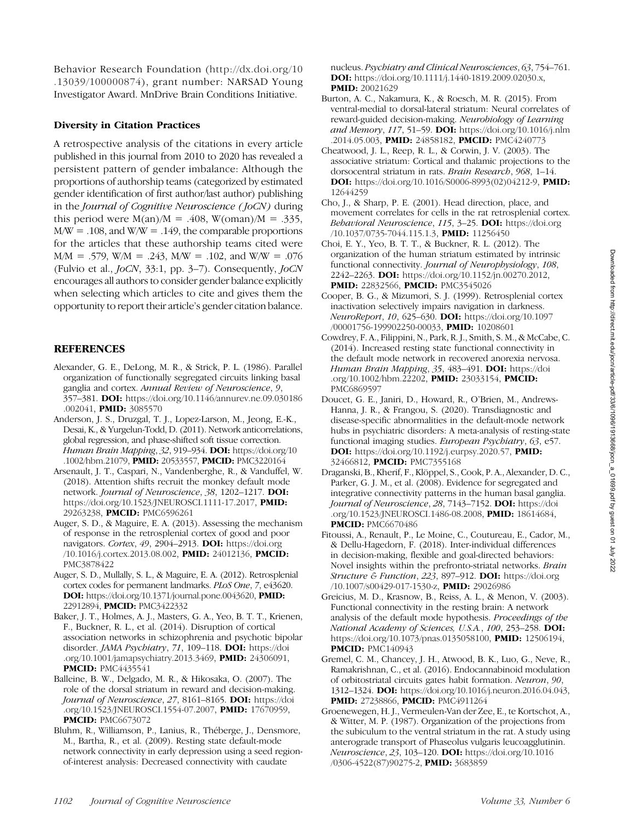Behavior Research Foundation ([http://dx.doi.org/10](http://dx.doi.org/10.13039/100000874) [.13039/100000874](http://dx.doi.org/10.13039/100000874)), grant number: NARSAD Young Investigator Award. MnDrive Brain Conditions Initiative.

### Diversity in Citation Practices

A retrospective analysis of the citations in every article published in this journal from 2010 to 2020 has revealed a persistent pattern of gender imbalance: Although the proportions of authorship teams (categorized by estimated gender identification of first author/last author) publishing in the Journal of Cognitive Neuroscience (JoCN) during this period were  $M(an)/M = .408$ ,  $W(oman)/M = .335$ ,  $M/W = .108$ , and  $W/W = .149$ , the comparable proportions for the articles that these authorship teams cited were  $M/M = .579$ , W/M = .243, M/W = .102, and W/W = .076 (Fulvio et al., JoCN, 33:1, pp. 3–7). Consequently, JoCN encourages all authors to consider gender balance explicitly when selecting which articles to cite and gives them the opportunity to report their article's gender citation balance.

# **REFERENCES**

- Alexander, G. E., DeLong, M. R., & Strick, P. L. (1986). Parallel organization of functionally segregated circuits linking basal ganglia and cortex. Annual Review of Neuroscience, 9, 357–381. DOI: [https://doi.org/10.1146/annurev.ne.09.030186](https://doi.org/10.1146/annurev.ne.09.030186.002041) [.002041](https://doi.org/10.1146/annurev.ne.09.030186.002041), PMID: [3085570](https://europepmc.org/article/MED/3085570)
- Anderson, J. S., Druzgal, T. J., Lopez-Larson, M., Jeong, E.-K., Desai, K., & Yurgelun-Todd, D. (2011). Network anticorrelations, global regression, and phase-shifted soft tissue correction. Human Brain Mapping, 32, 919-934. DOI: [https://doi.org/10](https://doi.org/10.1002/hbm.21079) [.1002/hbm.21079](https://doi.org/10.1002/hbm.21079), PMID: [20533557](https://europepmc.org/article/MED/20533557), PMCID: [PMC3220164](https://www.ncbi.nlm.nih.gov/pmc/articles/PMC3220164)
- Arsenault, J. T., Caspari, N., Vandenberghe, R., & Vanduffel, W. (2018). Attention shifts recruit the monkey default mode network. Journal of Neuroscience, 38, 1202-1217. DOI: [https://doi.org/10.1523/JNEUROSCI.1111-17.2017,](https://doi.org/10.1523/JNEUROSCI.1111-17.2017) PMID: [29263238,](https://europepmc.org/article/MED/29263238) PMCID: [PMC6596261](https://www.ncbi.nlm.nih.gov/pmc/articles/PMC6596261)
- Auger, S. D., & Maguire, E. A. (2013). Assessing the mechanism of response in the retrosplenial cortex of good and poor navigators. *Cortex*, 49, 2904–2913. **DOI:** [https://doi.org](https://doi.org/10.1016/j.cortex.2013.08.002) [/10.1016/j.cortex.2013.08.002](https://doi.org/10.1016/j.cortex.2013.08.002), PMID: [24012136](https://europepmc.org/article/MED/24012136), PMCID: [PMC3878422](https://www.ncbi.nlm.nih.gov/pmc/articles/PMC3878422)
- Auger, S. D., Mullally, S. L., & Maguire, E. A. (2012). Retrosplenial cortex codes for permanent landmarks. PLoS One, 7, e43620. DOI: [https://doi.org/10.1371/journal.pone.0043620,](https://doi.org/10.1371/journal.pone.0043620) PMID: [22912894,](https://europepmc.org/article/MED/22912894) PMCID: [PMC3422332](https://www.ncbi.nlm.nih.gov/pmc/articles/PMC3422332)
- Baker, J. T., Holmes, A. J., Masters, G. A., Yeo, B. T. T., Krienen, F., Buckner, R. L., et al. (2014). Disruption of cortical association networks in schizophrenia and psychotic bipolar disorder. *JAMA Psychiatry*, 71, 109–118. **DOI:** [https://doi](https://doi.org/10.1001/jamapsychiatry.2013.3469) [.org/10.1001/jamapsychiatry.2013.3469](https://doi.org/10.1001/jamapsychiatry.2013.3469), PMID: [24306091](https://europepmc.org/article/MED/24306091), **PMCID: [PMC4435541](https://www.ncbi.nlm.nih.gov/pmc/articles/PMC4435541)**
- Balleine, B. W., Delgado, M. R., & Hikosaka, O. (2007). The role of the dorsal striatum in reward and decision-making. Journal of Neuroscience, 27, 8161-8165. DOI: [https://doi](https://doi.org/10.1523/JNEUROSCI.1554-07.2007) [.org/10.1523/JNEUROSCI.1554-07.2007,](https://doi.org/10.1523/JNEUROSCI.1554-07.2007) PMID: [17670959,](https://europepmc.org/article/MED/17670959) **PMCID: [PMC6673072](https://www.ncbi.nlm.nih.gov/pmc/articles/PMC6673072)**
- Bluhm, R., Williamson, P., Lanius, R., Théberge, J., Densmore, M., Bartha, R., et al. (2009). Resting state default-mode network connectivity in early depression using a seed regionof-interest analysis: Decreased connectivity with caudate

nucleus. Psychiatry and Clinical Neurosciences, 63, 754–761. DOI: [https://doi.org/10.1111/j.1440-1819.2009.02030.x,](https://doi.org/10.1111/j.1440-1819.2009.02030.x) PMID: [20021629](https://europepmc.org/article/MED/20021629)

- Burton, A. C., Nakamura, K., & Roesch, M. R. (2015). From ventral-medial to dorsal-lateral striatum: Neural correlates of reward-guided decision-making. Neurobiology of Learning and Memory, 117, 51–59. DOI: [https://doi.org/10.1016/j.nlm](https://doi.org/10.1016/j.nlm.2014.05.003) [.2014.05.003](https://doi.org/10.1016/j.nlm.2014.05.003), PMID: [24858182,](https://europepmc.org/article/MED/24858182) PMCID: [PMC4240773](https://www.ncbi.nlm.nih.gov/pmc/articles/PMC4240773)
- Cheatwood, J. L., Reep, R. L., & Corwin, J. V. (2003). The associative striatum: Cortical and thalamic projections to the dorsocentral striatum in rats. Brain Research, 968, 1–14. DOI: [https://doi.org/10.1016/S0006-8993\(02\)04212-9](https://doi.org/10.1016/S0006-8993(02)04212-9), PMID: [12644259](https://europepmc.org/article/MED/12644259)
- Cho, J., & Sharp, P. E. (2001). Head direction, place, and movement correlates for cells in the rat retrosplenial cortex. Behavioral Neuroscience, 115, 3-25. DOI: [https://doi.org](https://doi.org/10.1037/0735-7044.115.1.3) [/10.1037/0735-7044.115.1.3,](https://doi.org/10.1037/0735-7044.115.1.3) **PMID:** [11256450](https://europepmc.org/article/MED/11256450)
- Choi, E. Y., Yeo, B. T. T., & Buckner, R. L. (2012). The organization of the human striatum estimated by intrinsic functional connectivity. Journal of Neurophysiology, 108, 2242–2263. DOI: <https://doi.org/10.1152/jn.00270.2012>, PMID: [22832566](https://europepmc.org/article/MED/22832566), PMCID: [PMC3545026](https://www.ncbi.nlm.nih.gov/pmc/articles/PMC3545026)
- Cooper, B. G., & Mizumori, S. J. (1999). Retrosplenial cortex inactivation selectively impairs navigation in darkness. NeuroReport, 10, 625–630. **DOI:** [https://doi.org/10.1097](https://doi.org/10.1097/00001756-199902250-00033) [/00001756-199902250-00033](https://doi.org/10.1097/00001756-199902250-00033), PMID: [10208601](https://europepmc.org/article/MED/10208601)
- Cowdrey, F. A., Filippini, N., Park, R. J., Smith, S. M., & McCabe, C. (2014). Increased resting state functional connectivity in the default mode network in recovered anorexia nervosa. Human Brain Mapping, 35, 483-491. DOI: [https://doi](https://doi.org/10.1002/hbm.22202) [.org/10.1002/hbm.22202](https://doi.org/10.1002/hbm.22202), PMID: [23033154](https://europepmc.org/article/MED/23033154), PMCID: [PMC6869597](https://www.ncbi.nlm.nih.gov/pmc/articles/PMC6869597)
- Doucet, G. E., Janiri, D., Howard, R., O'Brien, M., Andrews-Hanna, J. R., & Frangou, S. (2020). Transdiagnostic and disease-specific abnormalities in the default-mode network hubs in psychiatric disorders: A meta-analysis of resting-state functional imaging studies. European Psychiatry, 63, e57. DOI: <https://doi.org/10.1192/j.eurpsy.2020.57>, PMID: [32466812](https://europepmc.org/article/MED/32466812), PMCID: [PMC7355168](https://www.ncbi.nlm.nih.gov/pmc/articles/PMC7355168)
- Draganski, B., Kherif, F., Klöppel, S., Cook, P. A., Alexander, D. C., Parker, G. J. M., et al. (2008). Evidence for segregated and integrative connectivity patterns in the human basal ganglia. Journal of Neuroscience, 28, 7143-7152. DOI: [https://doi](https://doi.org/10.1523/JNEUROSCI.1486-08.2008) [.org/10.1523/JNEUROSCI.1486-08.2008,](https://doi.org/10.1523/JNEUROSCI.1486-08.2008) PMID: [18614684](https://europepmc.org/article/MED/18614684), **PMCID: [PMC6670486](https://www.ncbi.nlm.nih.gov/pmc/articles/PMC6670486)**
- Fitoussi, A., Renault, P., Le Moine, C., Coutureau, E., Cador, M., & Dellu-Hagedorn, F. (2018). Inter-individual differences in decision-making, flexible and goal-directed behaviors: Novel insights within the prefronto-striatal networks. Brain Structure & Function, 223, 897-912. DOI: [https://doi.org](https://doi.org/10.1007/s00429-017-1530-z) [/10.1007/s00429-017-1530-z,](https://doi.org/10.1007/s00429-017-1530-z) PMID: [29026986](https://europepmc.org/article/MED/29026986)
- Greicius, M. D., Krasnow, B., Reiss, A. L., & Menon, V. (2003). Functional connectivity in the resting brain: A network analysis of the default mode hypothesis. Proceedings of the National Academy of Sciences, U.S.A., 100, 253–258. DOI: [https://doi.org/10.1073/pnas.0135058100,](https://doi.org/10.1073/pnas.0135058100) PMID: [12506194](https://europepmc.org/article/MED/12506194), **PMCID: [PMC140943](https://www.ncbi.nlm.nih.gov/pmc/articles/PMC140943)**
- Gremel, C. M., Chancey, J. H., Atwood, B. K., Luo, G., Neve, R., Ramakrishnan, C., et al. (2016). Endocannabinoid modulation of orbitostriatal circuits gates habit formation. Neuron, 90, 1312–1324. DOI: <https://doi.org/10.1016/j.neuron.2016.04.043>, PMID: [27238866,](https://europepmc.org/article/MED/27238866) PMCID: [PMC4911264](https://www.ncbi.nlm.nih.gov/pmc/articles/PMC4911264)
- Groenewegen, H. J., Vermeulen-Van der Zee, E., te Kortschot, A., & Witter, M. P. (1987). Organization of the projections from the subiculum to the ventral striatum in the rat. A study using anterograde transport of Phaseolus vulgaris leucoagglutinin. Neuroscience, 23, 103-120. **DOI:** [https://doi.org/10.1016](https://doi.org/10.1016/0306-4522(87)90275-2) [/0306-4522\(87\)90275-2](https://doi.org/10.1016/0306-4522(87)90275-2), PMID: [3683859](https://europepmc.org/article/MED/3683859)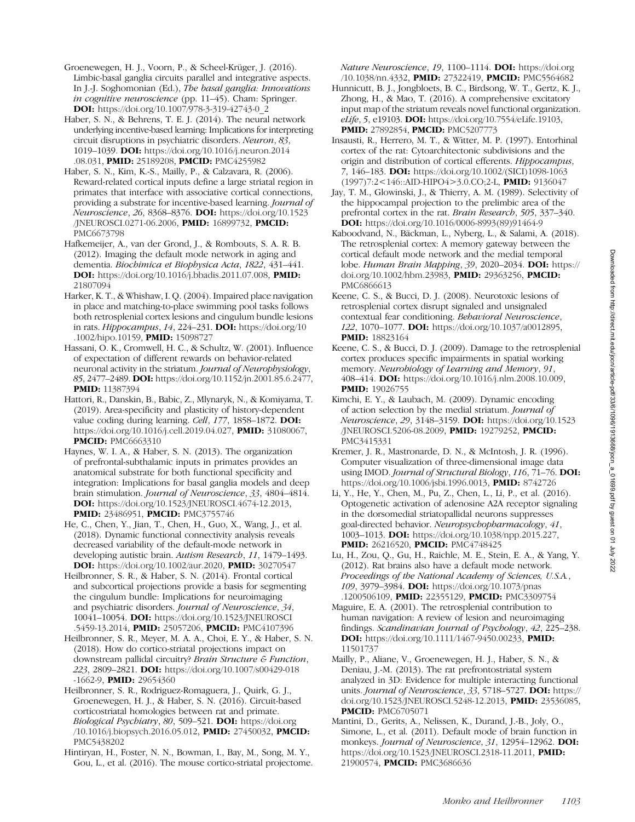- Groenewegen, H. J., Voorn, P., & Scheel-Krüger, J. (2016). Limbic-basal ganglia circuits parallel and integrative aspects. In J.-J. Soghomonian (Ed.), The basal ganglia: Innovations in cognitive neuroscience (pp. 11–45). Cham: Springer. DOI: [https://doi.org/10.1007/978-3-319-42743-0\\_2](https://doi.org/10.1007/978-3-319-42743-0_2)
- Haber, S. N., & Behrens, T. E. J. (2014). The neural network underlying incentive-based learning: Implications for interpreting circuit disruptions in psychiatric disorders. Neuron, 83, 1019–1039. DOI: [https://doi.org/10.1016/j.neuron.2014](https://doi.org/10.1016/j.neuron.2014.08.031) [.08.031](https://doi.org/10.1016/j.neuron.2014.08.031), PMID: [25189208,](https://europepmc.org/article/MED/25189208) PMCID: [PMC4255982](https://www.ncbi.nlm.nih.gov/pmc/articles/PMC4255982)
- Haber, S. N., Kim, K.-S., Mailly, P., & Calzavara, R. (2006). Reward-related cortical inputs define a large striatal region in primates that interface with associative cortical connections, providing a substrate for incentive-based learning. Journal of Neuroscience, 26, 8368–8376. DOI: [https://doi.org/10.1523](https://doi.org/10.1523/JNEUROSCI.0271-06.2006) [/JNEUROSCI.0271-06.2006](https://doi.org/10.1523/JNEUROSCI.0271-06.2006), PMID: [16899732,](https://europepmc.org/article/MED/16899732) PMCID: [PMC6673798](https://www.ncbi.nlm.nih.gov/pmc/articles/PMC6673798)
- Hafkemeijer, A., van der Grond, J., & Rombouts, S. A. R. B. (2012). Imaging the default mode network in aging and dementia. Biochimica et Biophysica Acta, 1822, 431–441. DOI: <https://doi.org/10.1016/j.bbadis.2011.07.008>, PMID: [21807094](https://europepmc.org/article/MED/21807094)
- Harker, K. T., & Whishaw, I. Q. (2004). Impaired place navigation in place and matching-to-place swimming pool tasks follows both retrosplenial cortex lesions and cingulum bundle lesions in rats. Hippocampus, 14, 224–231. DOI: [https://doi.org/10](https://doi.org/10.1002/hipo.10159) [.1002/hipo.10159,](https://doi.org/10.1002/hipo.10159) PMID: [15098727](https://europepmc.org/article/MED/15098727)
- Hassani, O. K., Cromwell, H. C., & Schultz, W. (2001). Influence of expectation of different rewards on behavior-related neuronal activity in the striatum. Journal of Neurophysiology, 85, 2477–2489. DOI: [https://doi.org/10.1152/jn.2001.85.6.2477,](https://doi.org/10.1152/jn.2001.85.6.2477) PMID: [11387394](https://europepmc.org/article/MED/11387394)
- Hattori, R., Danskin, B., Babic, Z., Mlynaryk, N., & Komiyama, T. (2019). Area-specificity and plasticity of history-dependent value coding during learning. Cell, 177, 1858-1872. DOI: <https://doi.org/10.1016/j.cell.2019.04.027>, PMID: [31080067](https://europepmc.org/article/MED/31080067), **PMCID: [PMC6663310](https://www.ncbi.nlm.nih.gov/pmc/articles/PMC6663310)**
- Haynes, W. I. A., & Haber, S. N. (2013). The organization of prefrontal-subthalamic inputs in primates provides an anatomical substrate for both functional specificity and integration: Implications for basal ganglia models and deep brain stimulation. Journal of Neuroscience, 33, 4804–4814. DOI: <https://doi.org/10.1523/JNEUROSCI.4674-12.2013>, **PMID: [23486951](https://europepmc.org/article/MED/23486951), PMCID: [PMC3755746](https://www.ncbi.nlm.nih.gov/pmc/articles/PMC3755746)**
- He, C., Chen, Y., Jian, T., Chen, H., Guo, X., Wang, J., et al. (2018). Dynamic functional connectivity analysis reveals decreased variability of the default-mode network in developing autistic brain. Autism Research, 11, 1479–1493. DOI: [https://doi.org/10.1002/aur.2020,](https://doi.org/10.1002/aur.2020) PMID: [30270547](https://europepmc.org/article/MED/30270547)
- Heilbronner, S. R., & Haber, S. N. (2014). Frontal cortical and subcortical projections provide a basis for segmenting the cingulum bundle: Implications for neuroimaging and psychiatric disorders. Journal of Neuroscience, 34, 10041–10054. DOI: [https://doi.org/10.1523/JNEUROSCI](https://doi.org/10.1523/JNEUROSCI.5459-13.2014) [.5459-13.2014,](https://doi.org/10.1523/JNEUROSCI.5459-13.2014) PMID: [25057206,](https://europepmc.org/article/MED/25057206) PMCID: [PMC4107396](https://www.ncbi.nlm.nih.gov/pmc/articles/PMC4107396)
- Heilbronner, S. R., Meyer, M. A. A., Choi, E. Y., & Haber, S. N. (2018). How do cortico-striatal projections impact on downstream pallidal circuitry? Brain Structure & Function, 223, 2809–2821. DOI: [https://doi.org/10.1007/s00429-018](https://doi.org/10.1007/s00429-018-1662-9) [-1662-9](https://doi.org/10.1007/s00429-018-1662-9), PMID: [29654360](https://europepmc.org/article/MED/29654360)
- Heilbronner, S. R., Rodriguez-Romaguera, J., Quirk, G. J., Groenewegen, H. J., & Haber, S. N. (2016). Circuit-based corticostriatal homologies between rat and primate. Biological Psychiatry, 80, 509–521. DOI: [https://doi.org](https://doi.org/10.1016/j.biopsych.2016.05.012) [/10.1016/j.biopsych.2016.05.012,](https://doi.org/10.1016/j.biopsych.2016.05.012) PMID: [27450032](https://europepmc.org/article/MED/27450032), PMCID: [PMC5438202](https://www.ncbi.nlm.nih.gov/pmc/articles/PMC5438202)
- Hintiryan, H., Foster, N. N., Bowman, I., Bay, M., Song, M. Y., Gou, L., et al. (2016). The mouse cortico-striatal projectome.

Nature Neuroscience, 19, 1100-1114. DOI: [https://doi.org](https://doi.org/10.1038/nn.4332) [/10.1038/nn.4332](https://doi.org/10.1038/nn.4332), PMID: [27322419,](https://europepmc.org/article/MED/27322419) PMCID: [PMC5564682](https://www.ncbi.nlm.nih.gov/pmc/articles/PMC5564682)

- Hunnicutt, B. J., Jongbloets, B. C., Birdsong, W. T., Gertz, K. J., Zhong, H., & Mao, T. (2016). A comprehensive excitatory input map of the striatum reveals novel functional organization. eLife, 5, e19103. **DOI:** [https://doi.org/10.7554/eLife.19103,](https://doi.org/10.7554/eLife.19103) PMID: [27892854,](https://europepmc.org/article/MED/27892854) PMCID: [PMC5207773](https://www.ncbi.nlm.nih.gov/pmc/articles/PMC5207773)
- Insausti, R., Herrero, M. T., & Witter, M. P. (1997). Entorhinal cortex of the rat: Cytoarchitectonic subdivisions and the origin and distribution of cortical efferents. Hippocampus, 7, 146–183. DOI: [https://doi.org/10.1002/\(SICI\)1098-1063](https://doi.org/10.1002/(SICI)1098-1063(1997)7:2%3C146::AID-HIPO4%3E3.0.CO;2-L) [\(1997\)7:2<146::AID-HIPO4>3.0.CO;2-L](https://doi.org/10.1002/(SICI)1098-1063(1997)7:2%3C146::AID-HIPO4%3E3.0.CO;2-L), PMID: [9136047](https://europepmc.org/article/MED/9136047)
- Jay, T. M., Glowinski, J., & Thierry, A. M. (1989). Selectivity of the hippocampal projection to the prelimbic area of the prefrontal cortex in the rat. Brain Research, 505, 337–340. **DOI:** [https://doi.org/10.1016/0006-8993\(89\)91464-9](https://doi.org/10.1016/0006-8993(89)91464-9)
- Kaboodvand, N., Bäckman, L., Nyberg, L., & Salami, A. (2018). The retrosplenial cortex: A memory gateway between the cortical default mode network and the medial temporal lobe. Human Brain Mapping, 39, 2020–2034. DOI: [https://](https://doi.org/10.1002/hbm.23983) [doi.org/10.1002/hbm.23983](https://doi.org/10.1002/hbm.23983), PMID: [29363256](https://europepmc.org/article/MED/29363256), PMCID: [PMC6866613](https://www.ncbi.nlm.nih.gov/pmc/articles/PMC6866613)
- Keene, C. S., & Bucci, D. J. (2008). Neurotoxic lesions of retrosplenial cortex disrupt signaled and unsignaled contextual fear conditioning. Behavioral Neuroscience, 122, 1070–1077. DOI: <https://doi.org/10.1037/a0012895>, **PMID:** [18823164](https://europepmc.org/article/MED/18823164)
- Keene, C. S., & Bucci, D. J. (2009). Damage to the retrosplenial cortex produces specific impairments in spatial working memory. Neurobiology of Learning and Memory, 91, 408–414. DOI: <https://doi.org/10.1016/j.nlm.2008.10.009>, PMID: [19026755](https://europepmc.org/article/MED/19026755)
- Kimchi, E. Y., & Laubach, M. (2009). Dynamic encoding of action selection by the medial striatum. Journal of Neuroscience, 29, 3148–3159. DOI: [https://doi.org/10.1523](https://doi.org/10.1523/JNEUROSCI.5206-08.2009) [/JNEUROSCI.5206-08.2009](https://doi.org/10.1523/JNEUROSCI.5206-08.2009), PMID: [19279252,](https://europepmc.org/article/MED/19279252) PMCID: [PMC3415331](https://www.ncbi.nlm.nih.gov/pmc/articles/PMC3415331)
- Kremer, J. R., Mastronarde, D. N., & McIntosh, J. R. (1996). Computer visualization of three-dimensional image data using IMOD. Journal of Structural Biology, 116, 71-76. DOI: <https://doi.org/10.1006/jsbi.1996.0013>, PMID: [8742726](https://europepmc.org/article/MED/8742726)
- Li, Y., He, Y., Chen, M., Pu, Z., Chen, L., Li, P., et al. (2016). Optogenetic activation of adenosine A2A receptor signaling in the dorsomedial striatopallidal neurons suppresses goal-directed behavior. Neuropsychopharmacology, 41, 1003–1013. DOI: <https://doi.org/10.1038/npp.2015.227>, PMID: [26216520](https://europepmc.org/article/MED/26216520), PMCID: [PMC4748425](https://www.ncbi.nlm.nih.gov/pmc/articles/PMC4748425)
- Lu, H., Zou, Q., Gu, H., Raichle, M. E., Stein, E. A., & Yang, Y. (2012). Rat brains also have a default mode network. Proceedings of the National Academy of Sciences, U.S.A., 109, 3979–3984. DOI: [https://doi.org/10.1073/pnas](https://doi.org/10.1073/pnas.1200506109) [.1200506109](https://doi.org/10.1073/pnas.1200506109), PMID: [22355129,](https://europepmc.org/article/MED/22355129) PMCID: [PMC3309754](https://www.ncbi.nlm.nih.gov/pmc/articles/PMC3309754)
- Maguire, E. A. (2001). The retrosplenial contribution to human navigation: A review of lesion and neuroimaging findings. Scandinavian Journal of Psychology, 42, 225–238. DOI: <https://doi.org/10.1111/1467-9450.00233>, PMID: [11501737](https://europepmc.org/article/MED/11501737)
- Mailly, P., Aliane, V., Groenewegen, H. J., Haber, S. N., & Deniau, J.-M. (2013). The rat prefrontostriatal system analyzed in 3D: Evidence for multiple interacting functional units. Journal of Neuroscience, 33, 5718-5727. DOI: [https://](https://doi.org/10.1523/JNEUROSCI.5248-12.2013) [doi.org/10.1523/JNEUROSCI.5248-12.2013](https://doi.org/10.1523/JNEUROSCI.5248-12.2013), PMID: [23536085,](https://europepmc.org/article/MED/23536085) **PMCID: [PMC6705071](https://www.ncbi.nlm.nih.gov/pmc/articles/PMC6705071)**
- Mantini, D., Gerits, A., Nelissen, K., Durand, J.-B., Joly, O., Simone, L., et al. (2011). Default mode of brain function in monkeys. Journal of Neuroscience, 31, 12954-12962. DOI: [https://doi.org/10.1523/JNEUROSCI.2318-11.2011,](https://doi.org/10.1523/JNEUROSCI.2318-11.2011) PMID: [21900574,](https://europepmc.org/article/MED/21900574) PMCID: [PMC3686636](https://www.ncbi.nlm.nih.gov/pmc/articles/PMC3686636)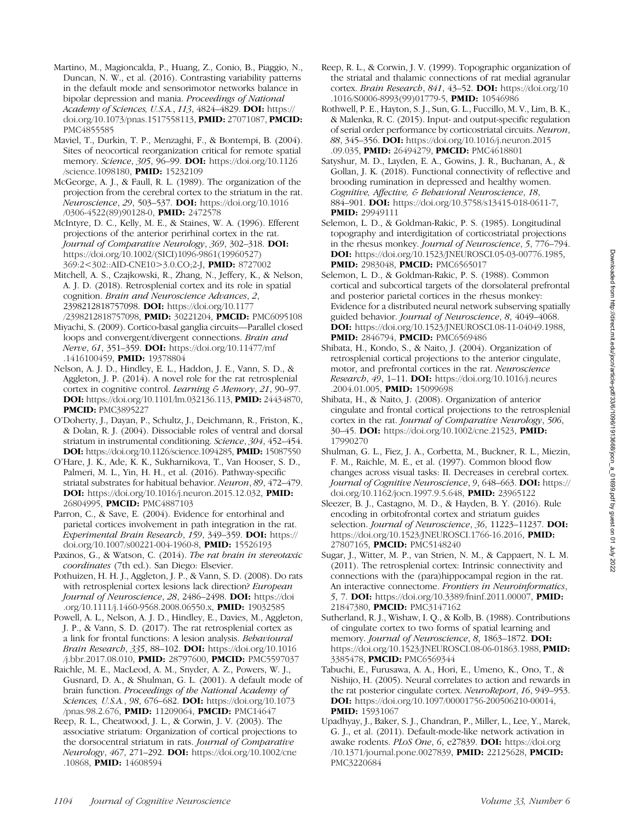- Martino, M., Magioncalda, P., Huang, Z., Conio, B., Piaggio, N., Duncan, N. W., et al. (2016). Contrasting variability patterns in the default mode and sensorimotor networks balance in bipolar depression and mania. Proceedings of National Academy of Sciences, U.S.A., 113, 4824-4829. DOI: [https://](https://doi.org/10.1073/pnas.1517558113) [doi.org/10.1073/pnas.1517558113](https://doi.org/10.1073/pnas.1517558113), PMID: [27071087](https://europepmc.org/article/MED/27071087), PMCID: [PMC4855585](https://www.ncbi.nlm.nih.gov/pmc/articles/PMC4855585)
- Maviel, T., Durkin, T. P., Menzaghi, F., & Bontempi, B. (2004). Sites of neocortical reorganization critical for remote spatial memory. Science, 305, 96-99. **DOI:** [https://doi.org/10.1126](https://doi.org/10.1126/science.1098180) [/science.1098180](https://doi.org/10.1126/science.1098180), PMID: [15232109](https://europepmc.org/article/MED/15232109)
- McGeorge, A. J., & Faull, R. L. (1989). The organization of the projection from the cerebral cortex to the striatum in the rat. Neuroscience, 29, 503–537. DOI: [https://doi.org/10.1016](https://doi.org/10.1016/0306-4522(89)90128-0) [/0306-4522\(89\)90128-0](https://doi.org/10.1016/0306-4522(89)90128-0), PMID: [2472578](https://europepmc.org/article/MED/2472578)
- McIntyre, D. C., Kelly, M. E., & Staines, W. A. (1996). Efferent projections of the anterior perirhinal cortex in the rat. Journal of Comparative Neurology, 369, 302–318. DOI: [https://doi.org/10.1002/\(SICI\)1096-9861\(19960527\)](https://doi.org/10.1002/(SICI)1096-9861(19960527)369:2%3C302::AID-CNE10%3E3.0.CO;2-J) [369:2<302::AID-CNE10>3.0.CO;2-J](https://doi.org/10.1002/(SICI)1096-9861(19960527)369:2%3C302::AID-CNE10%3E3.0.CO;2-J), PMID: [8727002](https://europepmc.org/article/MED/8727002)
- Mitchell, A. S., Czajkowski, R., Zhang, N., Jeffery, K., & Nelson, A. J. D. (2018). Retrosplenial cortex and its role in spatial cognition. Brain and Neuroscience Advances, 2, 2398212818757098. DOI: [https://doi.org/10.1177](https://doi.org/10.1177/2398212818757098) [/2398212818757098,](https://doi.org/10.1177/2398212818757098) PMID: [30221204](https://europepmc.org/article/MED/30221204), PMCID: [PMC6095108](https://www.ncbi.nlm.nih.gov/pmc/articles/PMC6095108)
- Miyachi, S. (2009). Cortico-basal ganglia circuits—Parallel closed loops and convergent/divergent connections. Brain and Nerve, 61, 351–359. DOI: [https://doi.org/10.11477/mf](https://doi.org/10.11477/mf.1416100459) [.1416100459](https://doi.org/10.11477/mf.1416100459), PMID: [19378804](https://europepmc.org/article/MED/19378804)
- Nelson, A. J. D., Hindley, E. L., Haddon, J. E., Vann, S. D., & Aggleton, J. P. (2014). A novel role for the rat retrosplenial cortex in cognitive control. Learning & Memory, 21, 90-97. DOI: <https://doi.org/10.1101/lm.032136.113>, PMID: [24434870,](https://europepmc.org/article/MED/24434870) **PMCID: [PMC3895227](https://www.ncbi.nlm.nih.gov/pmc/articles/PMC3895227)**
- O'Doherty, J., Dayan, P., Schultz, J., Deichmann, R., Friston, K., & Dolan, R. J. (2004). Dissociable roles of ventral and dorsal striatum in instrumental conditioning. Science, 304, 452–454. DOI: [https://doi.org/10.1126/science.1094285,](https://doi.org/10.1126/science.1094285) PMID: [15087550](https://europepmc.org/article/MED/15087550)
- O'Hare, J. K., Ade, K. K., Sukharnikova, T., Van Hooser, S. D., Palmeri, M. L., Yin, H. H., et al. (2016). Pathway-specific striatal substrates for habitual behavior. Neuron, 89, 472–479. DOI: <https://doi.org/10.1016/j.neuron.2015.12.032>, PMID: [26804995,](https://europepmc.org/article/MED/26804995) PMCID: [PMC4887103](https://www.ncbi.nlm.nih.gov/pmc/articles/PMC4887103)
- Parron, C., & Save, E. (2004). Evidence for entorhinal and parietal cortices involvement in path integration in the rat. Experimental Brain Research, 159, 349–359. DOI: [https://](https://doi.org/10.1007/s00221-004-1960-8) [doi.org/10.1007/s00221-004-1960-8,](https://doi.org/10.1007/s00221-004-1960-8) PMID: [15526193](https://europepmc.org/article/MED/15526193)
- Paxinos, G., & Watson, C. (2014). The rat brain in stereotaxic coordinates (7th ed.). San Diego: Elsevier.
- Pothuizen, H. H. J., Aggleton, J. P., & Vann, S. D. (2008). Do rats with retrosplenial cortex lesions lack direction? European Journal of Neuroscience, 28, 2486-2498. DOI: [https://doi](https://doi.org/10.1111/j.1460-9568.2008.06550.x) [.org/10.1111/j.1460-9568.2008.06550.x](https://doi.org/10.1111/j.1460-9568.2008.06550.x), PMID: [19032585](https://europepmc.org/article/MED/19032585)
- Powell, A. L., Nelson, A. J. D., Hindley, E., Davies, M., Aggleton, J. P., & Vann, S. D. (2017). The rat retrosplenial cortex as a link for frontal functions: A lesion analysis. Behavioural Brain Research, 335, 88–102. DOI: [https://doi.org/10.1016](https://doi.org/10.1016/j.bbr.2017.08.010) [/j.bbr.2017.08.010](https://doi.org/10.1016/j.bbr.2017.08.010), PMID: [28797600,](https://europepmc.org/article/MED/28797600) PMCID: [PMC5597037](https://www.ncbi.nlm.nih.gov/pmc/articles/PMC5597037)
- Raichle, M. E., MacLeod, A. M., Snyder, A. Z., Powers, W. J., Gusnard, D. A., & Shulman, G. L. (2001). A default mode of brain function. Proceedings of the National Academy of Sciences, U.S.A., 98, 676-682. DOI: [https://doi.org/10.1073](https://doi.org/10.1073/pnas.98.2.676) [/pnas.98.2.676,](https://doi.org/10.1073/pnas.98.2.676) PMID: [11209064](https://europepmc.org/article/MED/11209064), PMCID: [PMC14647](https://www.ncbi.nlm.nih.gov/pmc/articles/PMC14647)
- Reep, R. L., Cheatwood, J. L., & Corwin, J. V. (2003). The associative striatum: Organization of cortical projections to the dorsocentral striatum in rats. Journal of Comparative Neurology, 467, 271-292. **DOI:** [https://doi.org/10.1002/cne](https://doi.org/10.1002/cne.10868) [.10868,](https://doi.org/10.1002/cne.10868) PMID: [14608594](https://europepmc.org/article/MED/14608594)
- Reep, R. L., & Corwin, J. V. (1999). Topographic organization of the striatal and thalamic connections of rat medial agranular cortex. Brain Research, 841, 43–52. DOI: [https://doi.org/10](https://doi.org/10.1016/S0006-8993(99)01779-5) [.1016/S0006-8993\(99\)01779-5,](https://doi.org/10.1016/S0006-8993(99)01779-5) **PMID:** [10546986](https://europepmc.org/article/MED/10546986)
- Rothwell, P. E., Hayton, S. J., Sun, G. L., Fuccillo, M. V., Lim, B. K., & Malenka, R. C. (2015). Input- and output-specific regulation of serial order performance by corticostriatal circuits. Neuron, 88, 345–356. DOI: [https://doi.org/10.1016/j.neuron.2015](https://doi.org/10.1016/j.neuron.2015.09.035) [.09.035,](https://doi.org/10.1016/j.neuron.2015.09.035) PMID: [26494279,](https://europepmc.org/article/MED/26494279) PMCID: [PMC4618801](https://www.ncbi.nlm.nih.gov/pmc/articles/PMC4618801)
- Satyshur, M. D., Layden, E. A., Gowins, J. R., Buchanan, A., & Gollan, J. K. (2018). Functional connectivity of reflective and brooding rumination in depressed and healthy women. Cognitive, Affective, & Behavioral Neuroscience, 18, 884–901. DOI: <https://doi.org/10.3758/s13415-018-0611-7>, **PMID:** [29949111](https://europepmc.org/article/MED/29949111)
- Selemon, L. D., & Goldman-Rakic, P. S. (1985). Longitudinal topography and interdigitation of corticostriatal projections in the rhesus monkey. Journal of Neuroscience, 5, 776–794. DOI: [https://doi.org/10.1523/JNEUROSCI.05-03-00776.1985,](https://doi.org/10.1523/JNEUROSCI.05-03-00776.1985) **PMID: [2983048,](https://europepmc.org/article/MED/2983048) PMCID: [PMC6565017](https://www.ncbi.nlm.nih.gov/pmc/articles/PMC6565017)**
- Selemon, L. D., & Goldman-Rakic, P. S. (1988). Common cortical and subcortical targets of the dorsolateral prefrontal and posterior parietal cortices in the rhesus monkey: Evidence for a distributed neural network subserving spatially guided behavior. Journal of Neuroscience, 8, 4049–4068. DOI: [https://doi.org/10.1523/JNEUROSCI.08-11-04049.1988,](https://doi.org/10.1523/JNEUROSCI.08-11-04049.1988) PMID: [2846794,](https://europepmc.org/article/MED/2846794) PMCID: [PMC6569486](https://www.ncbi.nlm.nih.gov/pmc/articles/PMC6569486)
- Shibata, H., Kondo, S., & Naito, J. (2004). Organization of retrosplenial cortical projections to the anterior cingulate, motor, and prefrontal cortices in the rat. Neuroscience Research, 49, 1–11. DOI: [https://doi.org/10.1016/j.neures](https://doi.org/10.1016/j.neures.2004.01.005) [.2004.01.005](https://doi.org/10.1016/j.neures.2004.01.005), PMID: [15099698](https://europepmc.org/article/MED/15099698)
- Shibata, H., & Naito, J. (2008). Organization of anterior cingulate and frontal cortical projections to the retrosplenial cortex in the rat. Journal of Comparative Neurology, 506, 30–45. DOI: <https://doi.org/10.1002/cne.21523>, PMID: [17990270](https://europepmc.org/article/MED/17990270)
- Shulman, G. L., Fiez, J. A., Corbetta, M., Buckner, R. L., Miezin, F. M., Raichle, M. E., et al. (1997). Common blood flow changes across visual tasks: II. Decreases in cerebral cortex. Journal of Cognitive Neuroscience, 9, 648-663. DOI: [https://](https://doi.org/10.1162/jocn.1997.9.5.648) [doi.org/10.1162/jocn.1997.9.5.648,](https://doi.org/10.1162/jocn.1997.9.5.648) PMID: [23965122](https://europepmc.org/article/MED/23965122)
- Sleezer, B. J., Castagno, M. D., & Hayden, B. Y. (2016). Rule encoding in orbitofrontal cortex and striatum guides selection. Journal of Neuroscience, 36, 11223-11237. DOI: [https://doi.org/10.1523/JNEUROSCI.1766-16.2016,](https://doi.org/10.1523/JNEUROSCI.1766-16.2016) PMID: [27807165](https://europepmc.org/article/MED/27807165), PMCID: [PMC5148240](https://www.ncbi.nlm.nih.gov/pmc/articles/PMC5148240)
- Sugar, J., Witter, M. P., van Strien, N. M., & Cappaert, N. L. M. (2011). The retrosplenial cortex: Intrinsic connectivity and connections with the (para)hippocampal region in the rat. An interactive connectome. Frontiers in Neuroinformatics, 5, 7. DOI: [https://doi.org/10.3389/fninf.2011.00007,](https://doi.org/10.3389/fninf.2011.00007) PMID: [21847380](https://europepmc.org/article/MED/21847380), PMCID: [PMC3147162](https://www.ncbi.nlm.nih.gov/pmc/articles/PMC3147162)
- Sutherland, R. J., Wishaw, I. Q., & Kolb, B. (1988). Contributions of cingulate cortex to two forms of spatial learning and memory. Journal of Neuroscience, 8, 1863-1872. DOI: [https://doi.org/10.1523/JNEUROSCI.08-06-01863.1988,](https://doi.org/10.1523/JNEUROSCI.08-06-01863.1988) PMID: [3385478](https://europepmc.org/article/MED/3385478), **PMCID**: [PMC6569344](https://www.ncbi.nlm.nih.gov/pmc/articles/PMC6569344)
- Tabuchi, E., Furusawa, A. A., Hori, E., Umeno, K., Ono, T., & Nishijo, H. (2005). Neural correlates to action and rewards in the rat posterior cingulate cortex. NeuroReport, 16, 949–953. DOI: <https://doi.org/10.1097/00001756-200506210-00014>, PMID: [15931067](https://europepmc.org/article/MED/15931067)
- Upadhyay, J., Baker, S. J., Chandran, P., Miller, L., Lee, Y., Marek, G. J., et al. (2011). Default-mode-like network activation in awake rodents. PLoS One, 6, e27839. DOI: [https://doi.org](https://doi.org/10.1371/journal.pone.0027839) [/10.1371/journal.pone.0027839](https://doi.org/10.1371/journal.pone.0027839), PMID: [22125628,](https://europepmc.org/article/MED/22125628) PMCID: [PMC3220684](https://www.ncbi.nlm.nih.gov/pmc/articles/PMC3220684)